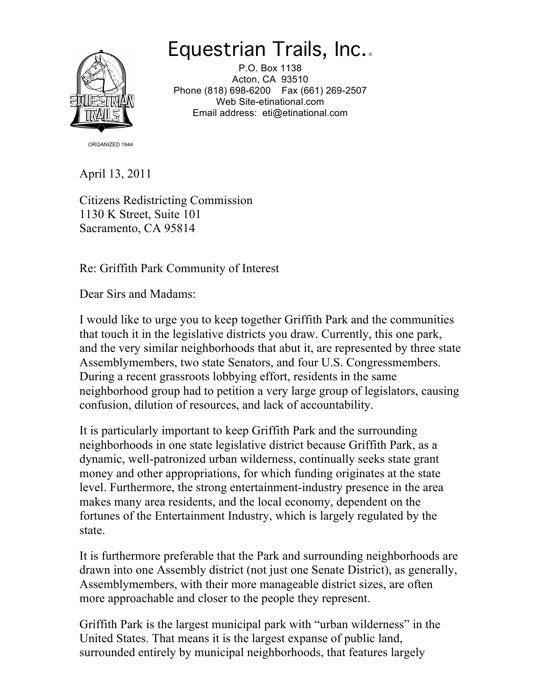## Equestrian Trails, Inc. ®



 P.O. Box 1138 Acton, CA 93510 Phone (818) 698-6200 Fax (661) 269-2507 Email address: eti@etinational.com Web Site-etinational.com

ORGANIZED 1944

April 13, 2011

 1130 K Street, Suite 101 Sacramento, CA 95814 Citizens Redistricting Commission

Re: Griffith Park Community of Interest

Dear Sirs and Madams:

 I would like to urge you to keep together Griffith Park and the communities and the very similar neighborhoods that abut it, are represented by three state Assemblymembers, two state Senators, and four U.S. Congressmembers. During a recent grassroots lobbying effort, residents in the same neighborhood group had to petition a very large group of legislators, causing confusion, dilution of resources, and lack of accountability. that touch it in the legislative districts you draw. Currently, this one park,

 It is particularly important to keep Griffith Park and the surrounding neighborhoods in one state legislative district because Griffith Park, as a dynamic, well-patronized urban wilderness, continually seeks state grant money and other appropriations, for which funding originates at the state makes many area residents, and the local economy, dependent on the fortunes of the Entertainment Industry, which is largely regulated by the level. Furthermore, the strong entertainment-industry presence in the area state.

 It is furthermore preferable that the Park and surrounding neighborhoods are drawn into one Assembly district (not just one Senate District), as generally, Assemblymembers, with their more manageable district sizes, are often more approachable and closer to the people they represent.

 Griffith Park is the largest municipal park with "urban wilderness" in the United States. That means it is the largest expanse of public land, surrounded entirely by municipal neighborhoods, that features largely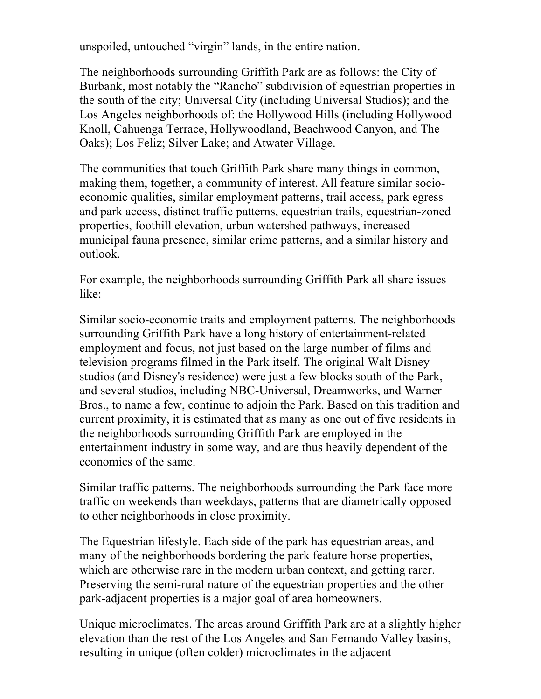unspoiled, untouched "virgin" lands, in the entire nation.

 The neighborhoods surrounding Griffith Park are as follows: the City of Burbank, most notably the "Rancho" subdivision of equestrian properties in Los Angeles neighborhoods of: the Hollywood Hills (including Hollywood Knoll, Cahuenga Terrace, Hollywoodland, Beachwood Canyon, and The Oaks); Los Feliz; Silver Lake; and Atwater Village. the south of the city; Universal City (including Universal Studios); and the

 The communities that touch Griffith Park share many things in common, making them, together, a community of interest. All feature similar socio- economic qualities, similar employment patterns, trail access, park egress and park access, distinct traffic patterns, equestrian trails, equestrian-zoned properties, foothill elevation, urban watershed pathways, increased municipal fauna presence, similar crime patterns, and a similar history and outlook.

 For example, the neighborhoods surrounding Griffith Park all share issues like:

 Similar socio-economic traits and employment patterns. The neighborhoods surrounding Griffith Park have a long history of entertainment-related employment and focus, not just based on the large number of films and studios (and Disney's residence) were just a few blocks south of the Park, and several studios, including NBC-Universal, Dreamworks, and Warner Bros., to name a few, continue to adjoin the Park. Based on this tradition and current proximity, it is estimated that as many as one out of five residents in entertainment industry in some way, and are thus heavily dependent of the television programs filmed in the Park itself. The original Walt Disney the neighborhoods surrounding Griffith Park are employed in the economics of the same.

 Similar traffic patterns. The neighborhoods surrounding the Park face more traffic on weekends than weekdays, patterns that are diametrically opposed to other neighborhoods in close proximity.

 The Equestrian lifestyle. Each side of the park has equestrian areas, and many of the neighborhoods bordering the park feature horse properties, which are otherwise rare in the modern urban context, and getting rarer. Preserving the semi-rural nature of the equestrian properties and the other park-adjacent properties is a major goal of area homeowners.

 Unique microclimates. The areas around Griffith Park are at a slightly higher elevation than the rest of the Los Angeles and San Fernando Valley basins, resulting in unique (often colder) microclimates in the adjacent